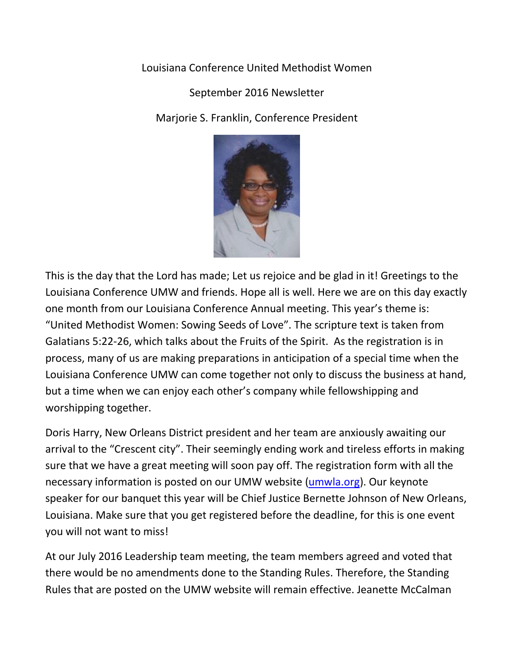## Louisiana Conference United Methodist Women

## September 2016 Newsletter

Marjorie S. Franklin, Conference President



This is the day that the Lord has made; Let us rejoice and be glad in it! Greetings to the Louisiana Conference UMW and friends. Hope all is well. Here we are on this day exactly one month from our Louisiana Conference Annual meeting. This year's theme is: "United Methodist Women: Sowing Seeds of Love". The scripture text is taken from Galatians 5:22-26, which talks about the Fruits of the Spirit. As the registration is in process, many of us are making preparations in anticipation of a special time when the Louisiana Conference UMW can come together not only to discuss the business at hand, but a time when we can enjoy each other's company while fellowshipping and worshipping together.

Doris Harry, New Orleans District president and her team are anxiously awaiting our arrival to the "Crescent city". Their seemingly ending work and tireless efforts in making sure that we have a great meeting will soon pay off. The registration form with all the necessary information is posted on our UMW website [\(umwla.org\)](http://umwla.org/). Our keynote speaker for our banquet this year will be Chief Justice Bernette Johnson of New Orleans, Louisiana. Make sure that you get registered before the deadline, for this is one event you will not want to miss!

At our July 2016 Leadership team meeting, the team members agreed and voted that there would be no amendments done to the Standing Rules. Therefore, the Standing Rules that are posted on the UMW website will remain effective. Jeanette McCalman